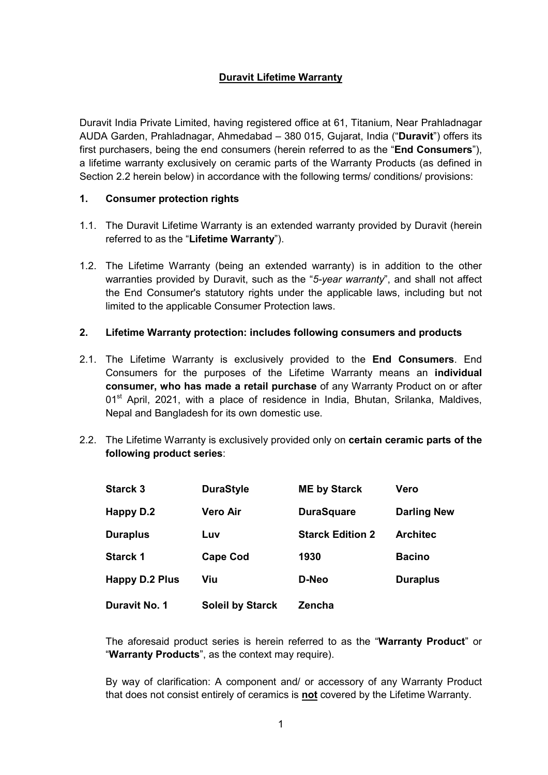# **Duravit Lifetime Warranty**

Duravit India Private Limited, having registered office at 61, Titanium, Near Prahladnagar AUDA Garden, Prahladnagar, Ahmedabad – 380 015, Gujarat, India ("**Duravit**") offers its first purchasers, being the end consumers (herein referred to as the "**End Consumers**"), a lifetime warranty exclusively on ceramic parts of the Warranty Products (as defined in Section 2.2 herein below) in accordance with the following terms/ conditions/ provisions:

## **1. Consumer protection rights**

- 1.1. The Duravit Lifetime Warranty is an extended warranty provided by Duravit (herein referred to as the "**Lifetime Warranty**").
- 1.2. The Lifetime Warranty (being an extended warranty) is in addition to the other warranties provided by Duravit, such as the "*5-year warranty*", and shall not affect the End Consumer's statutory rights under the applicable laws, including but not limited to the applicable Consumer Protection laws.

### **2. Lifetime Warranty protection: includes following consumers and products**

- 2.1. The Lifetime Warranty is exclusively provided to the **End Consumers**. End Consumers for the purposes of the Lifetime Warranty means an **individual consumer, who has made a retail purchase** of any Warranty Product on or after  $01<sup>st</sup>$  April, 2021, with a place of residence in India, Bhutan, Srilanka, Maldives, Nepal and Bangladesh for its own domestic use.
- 2.2. The Lifetime Warranty is exclusively provided only on **certain ceramic parts of the following product series**:

| <b>Starck 3</b>       | <b>DuraStyle</b>        | <b>ME by Starck</b>     | Vero               |
|-----------------------|-------------------------|-------------------------|--------------------|
| Happy D.2             | <b>Vero Air</b>         | <b>DuraSquare</b>       | <b>Darling New</b> |
| <b>Duraplus</b>       | Luv                     | <b>Starck Edition 2</b> | <b>Architec</b>    |
| <b>Starck 1</b>       | <b>Cape Cod</b>         | 1930                    | <b>Bacino</b>      |
| <b>Happy D.2 Plus</b> | Viu                     | D-Neo                   | <b>Duraplus</b>    |
| Duravit No. 1         | <b>Soleil by Starck</b> | Zencha                  |                    |

The aforesaid product series is herein referred to as the "**Warranty Product**" or "**Warranty Products**", as the context may require).

By way of clarification: A component and/ or accessory of any Warranty Product that does not consist entirely of ceramics is **not** covered by the Lifetime Warranty.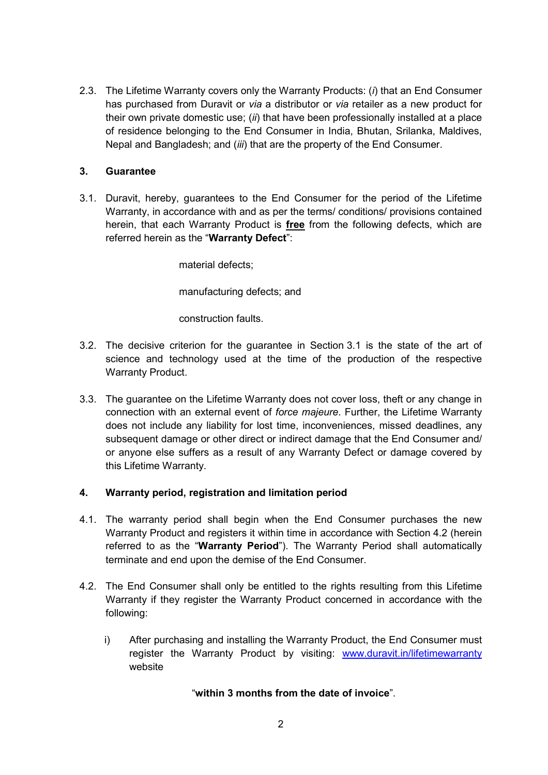2.3. The Lifetime Warranty covers only the Warranty Products: (*i*) that an End Consumer has purchased from Duravit or *via* a distributor or *via* retailer as a new product for their own private domestic use; (*ii*) that have been professionally installed at a place of residence belonging to the End Consumer in India, Bhutan, Srilanka, Maldives, Nepal and Bangladesh; and (*iii*) that are the property of the End Consumer.

## **3. Guarantee**

3.1. Duravit, hereby, guarantees to the End Consumer for the period of the Lifetime Warranty, in accordance with and as per the terms/ conditions/ provisions contained herein, that each Warranty Product is **free** from the following defects, which are referred herein as the "**Warranty Defect**":

material defects;

manufacturing defects; and

construction faults.

- 3.2. The decisive criterion for the guarantee in Section 3.1 is the state of the art of science and technology used at the time of the production of the respective Warranty Product.
- 3.3. The guarantee on the Lifetime Warranty does not cover loss, theft or any change in connection with an external event of *force majeure*. Further, the Lifetime Warranty does not include any liability for lost time, inconveniences, missed deadlines, any subsequent damage or other direct or indirect damage that the End Consumer and/ or anyone else suffers as a result of any Warranty Defect or damage covered by this Lifetime Warranty.

### **4. Warranty period, registration and limitation period**

- 4.1. The warranty period shall begin when the End Consumer purchases the new Warranty Product and registers it within time in accordance with Section 4.2 (herein referred to as the "**Warranty Period**"). The Warranty Period shall automatically terminate and end upon the demise of the End Consumer.
- 4.2. The End Consumer shall only be entitled to the rights resulting from this Lifetime Warranty if they register the Warranty Product concerned in accordance with the following:
	- i) After purchasing and installing the Warranty Product, the End Consumer must register the Warranty Product by visiting: www.duravit.in/lifetimewarranty website

### "**within 3 months from the date of invoice**".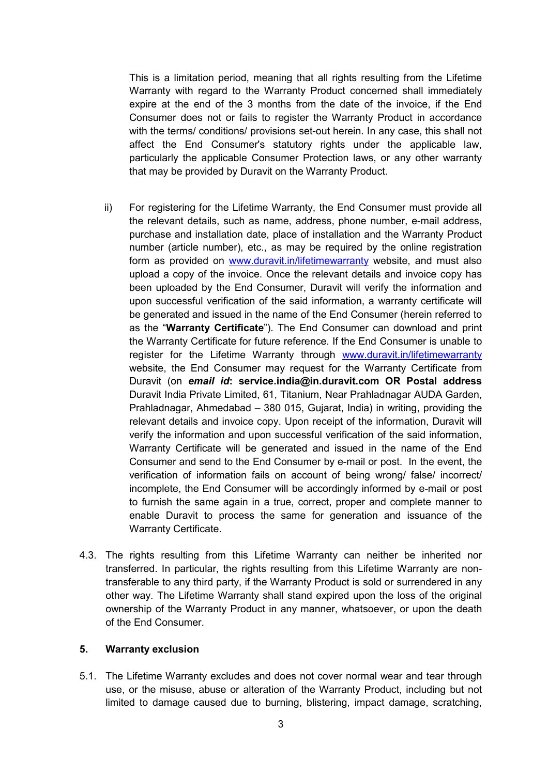This is a limitation period, meaning that all rights resulting from the Lifetime Warranty with regard to the Warranty Product concerned shall immediately expire at the end of the 3 months from the date of the invoice, if the End Consumer does not or fails to register the Warranty Product in accordance with the terms/ conditions/ provisions set-out herein. In any case, this shall not affect the End Consumer's statutory rights under the applicable law, particularly the applicable Consumer Protection laws, or any other warranty that may be provided by Duravit on the Warranty Product.

- ii) For registering for the Lifetime Warranty, the End Consumer must provide all the relevant details, such as name, address, phone number, e-mail address, purchase and installation date, place of installation and the Warranty Product number (article number), etc., as may be required by the online registration form as provided on www.duravit.in/lifetimewarranty website, and must also upload a copy of the invoice. Once the relevant details and invoice copy has been uploaded by the End Consumer, Duravit will verify the information and upon successful verification of the said information, a warranty certificate will be generated and issued in the name of the End Consumer (herein referred to as the "**Warranty Certificate**"). The End Consumer can download and print the Warranty Certificate for future reference. If the End Consumer is unable to register for the Lifetime Warranty through www.duravit.in/lifetimewarranty website, the End Consumer may request for the Warranty Certificate from Duravit (on *email id***: service.india@in.duravit.com OR Postal address**  Duravit India Private Limited, 61, Titanium, Near Prahladnagar AUDA Garden, Prahladnagar, Ahmedabad – 380 015, Gujarat, India) in writing, providing the relevant details and invoice copy. Upon receipt of the information, Duravit will verify the information and upon successful verification of the said information, Warranty Certificate will be generated and issued in the name of the End Consumer and send to the End Consumer by e-mail or post. In the event, the verification of information fails on account of being wrong/ false/ incorrect/ incomplete, the End Consumer will be accordingly informed by e-mail or post to furnish the same again in a true, correct, proper and complete manner to enable Duravit to process the same for generation and issuance of the Warranty Certificate.
- 4.3. The rights resulting from this Lifetime Warranty can neither be inherited nor transferred. In particular, the rights resulting from this Lifetime Warranty are nontransferable to any third party, if the Warranty Product is sold or surrendered in any other way. The Lifetime Warranty shall stand expired upon the loss of the original ownership of the Warranty Product in any manner, whatsoever, or upon the death of the End Consumer.

#### **5. Warranty exclusion**

5.1. The Lifetime Warranty excludes and does not cover normal wear and tear through use, or the misuse, abuse or alteration of the Warranty Product, including but not limited to damage caused due to burning, blistering, impact damage, scratching,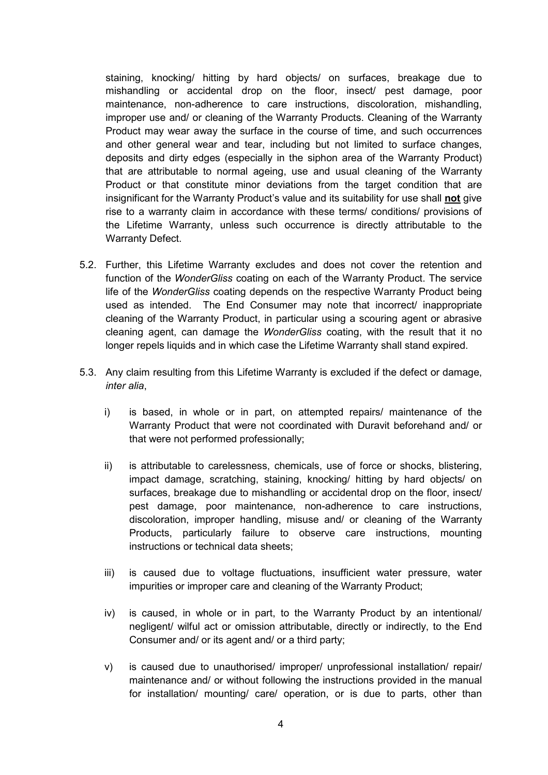staining, knocking/ hitting by hard objects/ on surfaces, breakage due to mishandling or accidental drop on the floor, insect/ pest damage, poor maintenance, non-adherence to care instructions, discoloration, mishandling, improper use and/ or cleaning of the Warranty Products. Cleaning of the Warranty Product may wear away the surface in the course of time, and such occurrences and other general wear and tear, including but not limited to surface changes, deposits and dirty edges (especially in the siphon area of the Warranty Product) that are attributable to normal ageing, use and usual cleaning of the Warranty Product or that constitute minor deviations from the target condition that are insignificant for the Warranty Product's value and its suitability for use shall **not** give rise to a warranty claim in accordance with these terms/ conditions/ provisions of the Lifetime Warranty, unless such occurrence is directly attributable to the Warranty Defect.

- 5.2. Further, this Lifetime Warranty excludes and does not cover the retention and function of the *WonderGliss* coating on each of the Warranty Product. The service life of the *WonderGliss* coating depends on the respective Warranty Product being used as intended. The End Consumer may note that incorrect/ inappropriate cleaning of the Warranty Product, in particular using a scouring agent or abrasive cleaning agent, can damage the *WonderGliss* coating, with the result that it no longer repels liquids and in which case the Lifetime Warranty shall stand expired.
- 5.3. Any claim resulting from this Lifetime Warranty is excluded if the defect or damage, *inter alia*,
	- i) is based, in whole or in part, on attempted repairs/ maintenance of the Warranty Product that were not coordinated with Duravit beforehand and/ or that were not performed professionally;
	- ii) is attributable to carelessness, chemicals, use of force or shocks, blistering, impact damage, scratching, staining, knocking/ hitting by hard objects/ on surfaces, breakage due to mishandling or accidental drop on the floor, insect/ pest damage, poor maintenance, non-adherence to care instructions, discoloration, improper handling, misuse and/ or cleaning of the Warranty Products, particularly failure to observe care instructions, mounting instructions or technical data sheets;
	- iii) is caused due to voltage fluctuations, insufficient water pressure, water impurities or improper care and cleaning of the Warranty Product;
	- iv) is caused, in whole or in part, to the Warranty Product by an intentional/ negligent/ wilful act or omission attributable, directly or indirectly, to the End Consumer and/ or its agent and/ or a third party;
	- v) is caused due to unauthorised/ improper/ unprofessional installation/ repair/ maintenance and/ or without following the instructions provided in the manual for installation/ mounting/ care/ operation, or is due to parts, other than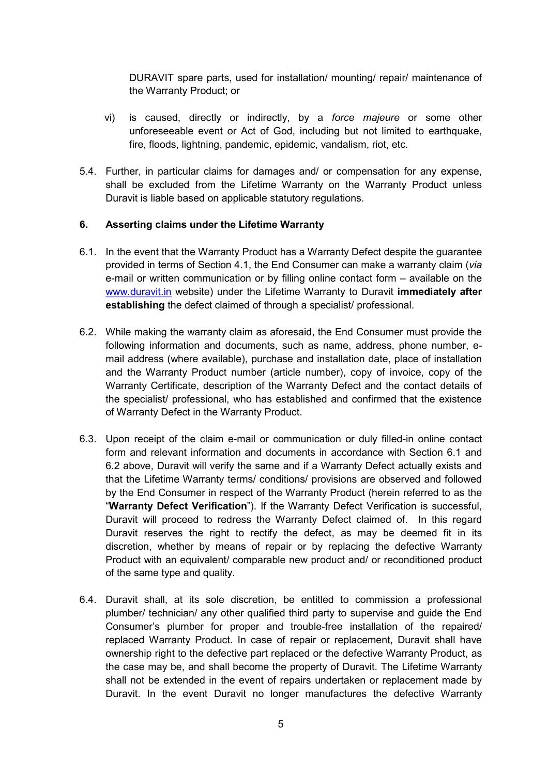DURAVIT spare parts, used for installation/ mounting/ repair/ maintenance of the Warranty Product; or

- vi) is caused, directly or indirectly, by a *force majeure* or some other unforeseeable event or Act of God, including but not limited to earthquake, fire, floods, lightning, pandemic, epidemic, vandalism, riot, etc.
- 5.4. Further, in particular claims for damages and/ or compensation for any expense, shall be excluded from the Lifetime Warranty on the Warranty Product unless Duravit is liable based on applicable statutory regulations.

### **6. Asserting claims under the Lifetime Warranty**

- 6.1. In the event that the Warranty Product has a Warranty Defect despite the guarantee provided in terms of Section 4.1, the End Consumer can make a warranty claim (*via* e-mail or written communication or by filling online contact form – available on the www.duravit.in website) under the Lifetime Warranty to Duravit **immediately after establishing** the defect claimed of through a specialist/ professional.
- 6.2. While making the warranty claim as aforesaid, the End Consumer must provide the following information and documents, such as name, address, phone number, email address (where available), purchase and installation date, place of installation and the Warranty Product number (article number), copy of invoice, copy of the Warranty Certificate, description of the Warranty Defect and the contact details of the specialist/ professional, who has established and confirmed that the existence of Warranty Defect in the Warranty Product.
- 6.3. Upon receipt of the claim e-mail or communication or duly filled-in online contact form and relevant information and documents in accordance with Section 6.1 and 6.2 above, Duravit will verify the same and if a Warranty Defect actually exists and that the Lifetime Warranty terms/ conditions/ provisions are observed and followed by the End Consumer in respect of the Warranty Product (herein referred to as the "**Warranty Defect Verification**"). If the Warranty Defect Verification is successful, Duravit will proceed to redress the Warranty Defect claimed of. In this regard Duravit reserves the right to rectify the defect, as may be deemed fit in its discretion, whether by means of repair or by replacing the defective Warranty Product with an equivalent/ comparable new product and/ or reconditioned product of the same type and quality.
- 6.4. Duravit shall, at its sole discretion, be entitled to commission a professional plumber/ technician/ any other qualified third party to supervise and guide the End Consumer's plumber for proper and trouble-free installation of the repaired/ replaced Warranty Product. In case of repair or replacement, Duravit shall have ownership right to the defective part replaced or the defective Warranty Product, as the case may be, and shall become the property of Duravit. The Lifetime Warranty shall not be extended in the event of repairs undertaken or replacement made by Duravit. In the event Duravit no longer manufactures the defective Warranty